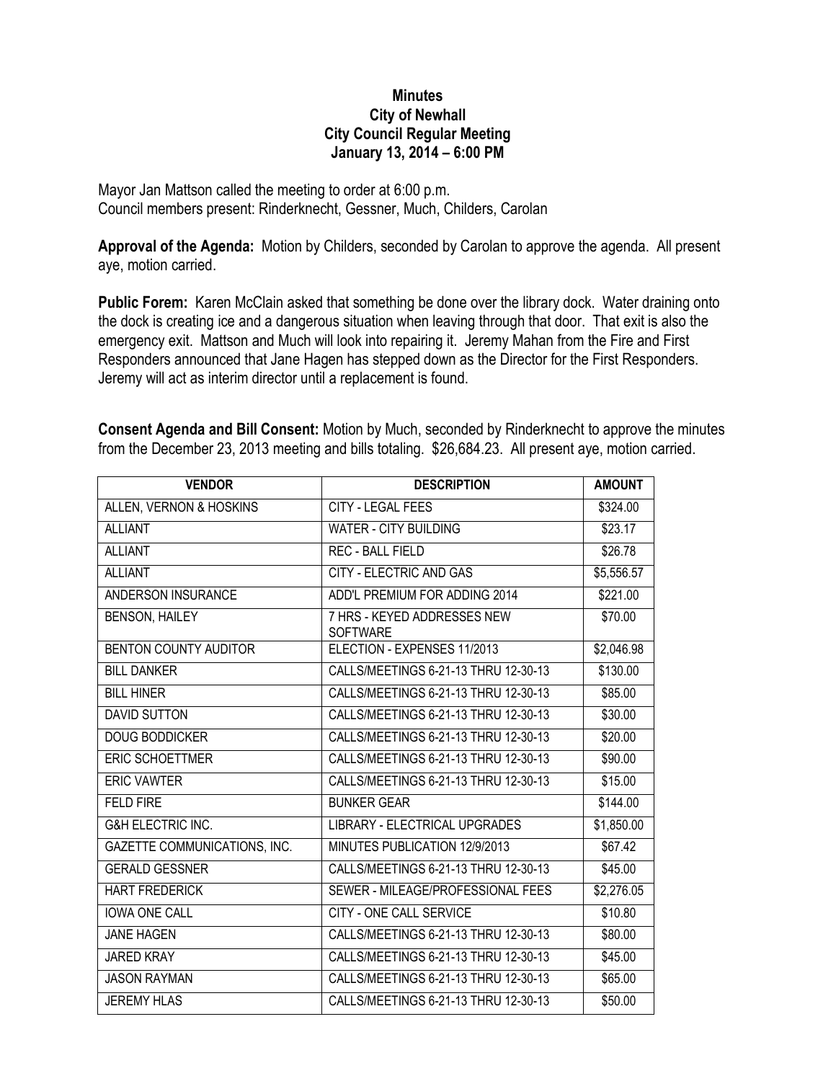## **Minutes City of Newhall City Council Regular Meeting January 13, 2014 – 6:00 PM**

Mayor Jan Mattson called the meeting to order at 6:00 p.m. Council members present: Rinderknecht, Gessner, Much, Childers, Carolan

**Approval of the Agenda:** Motion by Childers, seconded by Carolan to approve the agenda. All present aye, motion carried.

**Public Forem:** Karen McClain asked that something be done over the library dock. Water draining onto the dock is creating ice and a dangerous situation when leaving through that door. That exit is also the emergency exit. Mattson and Much will look into repairing it. Jeremy Mahan from the Fire and First Responders announced that Jane Hagen has stepped down as the Director for the First Responders. Jeremy will act as interim director until a replacement is found.

| <b>Consent Agenda and Bill Consent:</b> Motion by Much, seconded by Rinderknecht to approve the minutes |  |  |  |
|---------------------------------------------------------------------------------------------------------|--|--|--|
| from the December 23, 2013 meeting and bills totaling. \$26,684.23. All present aye, motion carried.    |  |  |  |

| <b>VENDOR</b>                | <b>DESCRIPTION</b>                             | <b>AMOUNT</b> |
|------------------------------|------------------------------------------------|---------------|
| ALLEN, VERNON & HOSKINS      | <b>CITY - LEGAL FEES</b>                       | \$324.00      |
| <b>ALLIANT</b>               | WATER - CITY BUILDING                          | \$23.17       |
| <b>ALLIANT</b>               | <b>REC - BALL FIELD</b>                        | \$26.78       |
| <b>ALLIANT</b>               | CITY - ELECTRIC AND GAS                        | \$5,556.57    |
| ANDERSON INSURANCE           | ADD'L PREMIUM FOR ADDING 2014                  | \$221.00      |
| <b>BENSON, HAILEY</b>        | 7 HRS - KEYED ADDRESSES NEW<br><b>SOFTWARE</b> | \$70.00       |
| <b>BENTON COUNTY AUDITOR</b> | ELECTION - EXPENSES 11/2013                    | \$2,046.98    |
| <b>BILL DANKER</b>           | CALLS/MEETINGS 6-21-13 THRU 12-30-13           | \$130.00      |
| <b>BILL HINER</b>            | CALLS/MEETINGS 6-21-13 THRU 12-30-13           | \$85.00       |
| <b>DAVID SUTTON</b>          | CALLS/MEETINGS 6-21-13 THRU 12-30-13           | \$30.00       |
| <b>DOUG BODDICKER</b>        | CALLS/MEETINGS 6-21-13 THRU 12-30-13           | \$20.00       |
| ERIC SCHOETTMER              | CALLS/MEETINGS 6-21-13 THRU 12-30-13           | \$90.00       |
| <b>ERIC VAWTER</b>           | CALLS/MEETINGS 6-21-13 THRU 12-30-13           | \$15.00       |
| <b>FELD FIRE</b>             | <b>BUNKER GEAR</b>                             | \$144.00      |
| <b>G&amp;H ELECTRIC INC.</b> | <b>LIBRARY - ELECTRICAL UPGRADES</b>           | \$1,850.00    |
| GAZETTE COMMUNICATIONS, INC. | MINUTES PUBLICATION 12/9/2013                  | \$67.42       |
| <b>GERALD GESSNER</b>        | CALLS/MEETINGS 6-21-13 THRU 12-30-13           | \$45.00       |
| <b>HART FREDERICK</b>        | SEWER - MILEAGE/PROFESSIONAL FEES              | \$2,276.05    |
| <b>IOWA ONE CALL</b>         | <b>CITY - ONE CALL SERVICE</b>                 | \$10.80       |
| <b>JANE HAGEN</b>            | CALLS/MEETINGS 6-21-13 THRU 12-30-13           | \$80.00       |
| <b>JARED KRAY</b>            | CALLS/MEETINGS 6-21-13 THRU 12-30-13           | \$45.00       |
| <b>JASON RAYMAN</b>          | CALLS/MEETINGS 6-21-13 THRU 12-30-13           | \$65.00       |
| <b>JEREMY HLAS</b>           | CALLS/MEETINGS 6-21-13 THRU 12-30-13           | \$50.00       |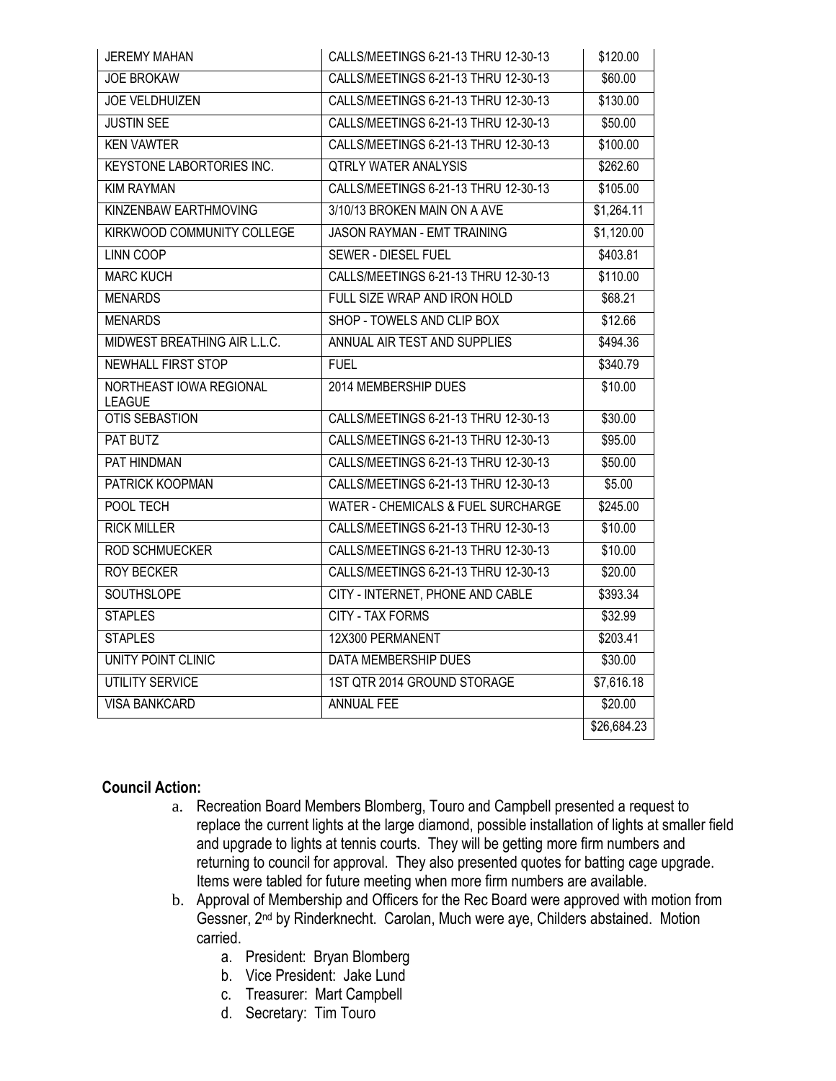| <b>JEREMY MAHAN</b>                      | CALLS/MEETINGS 6-21-13 THRU 12-30-13          | \$120.00    |
|------------------------------------------|-----------------------------------------------|-------------|
| <b>JOE BROKAW</b>                        | CALLS/MEETINGS 6-21-13 THRU 12-30-13          | \$60.00     |
| <b>JOE VELDHUIZEN</b>                    | CALLS/MEETINGS 6-21-13 THRU 12-30-13          | \$130.00    |
| <b>JUSTIN SEE</b>                        | CALLS/MEETINGS 6-21-13 THRU 12-30-13          | \$50.00     |
| <b>KEN VAWTER</b>                        | CALLS/MEETINGS 6-21-13 THRU 12-30-13          | \$100.00    |
| <b>KEYSTONE LABORTORIES INC.</b>         | <b>QTRLY WATER ANALYSIS</b>                   | \$262.60    |
| <b>KIM RAYMAN</b>                        | CALLS/MEETINGS 6-21-13 THRU 12-30-13          | \$105.00    |
| KINZENBAW EARTHMOVING                    | 3/10/13 BROKEN MAIN ON A AVE                  | \$1,264.11  |
| KIRKWOOD COMMUNITY COLLEGE               | <b>JASON RAYMAN - EMT TRAINING</b>            | \$1,120.00  |
| <b>LINN COOP</b>                         | <b>SEWER - DIESEL FUEL</b>                    | \$403.81    |
| <b>MARC KUCH</b>                         | CALLS/MEETINGS 6-21-13 THRU 12-30-13          | \$110.00    |
| <b>MENARDS</b>                           | FULL SIZE WRAP AND IRON HOLD                  | \$68.21     |
| <b>MENARDS</b>                           | SHOP - TOWELS AND CLIP BOX                    | \$12.66     |
| MIDWEST BREATHING AIR L.L.C.             | ANNUAL AIR TEST AND SUPPLIES                  | \$494.36    |
| <b>NEWHALL FIRST STOP</b>                | <b>FUEL</b>                                   | \$340.79    |
| NORTHEAST IOWA REGIONAL<br><b>LEAGUE</b> | 2014 MEMBERSHIP DUES                          | \$10.00     |
| <b>OTIS SEBASTION</b>                    | CALLS/MEETINGS 6-21-13 THRU 12-30-13          | \$30.00     |
| <b>PAT BUTZ</b>                          | CALLS/MEETINGS 6-21-13 THRU 12-30-13          | \$95.00     |
| PAT HINDMAN                              | CALLS/MEETINGS 6-21-13 THRU 12-30-13          | \$50.00     |
| PATRICK KOOPMAN                          | CALLS/MEETINGS 6-21-13 THRU 12-30-13          | \$5.00      |
| POOL TECH                                | <b>WATER - CHEMICALS &amp; FUEL SURCHARGE</b> | \$245.00    |
| <b>RICK MILLER</b>                       | CALLS/MEETINGS 6-21-13 THRU 12-30-13          | \$10.00     |
| <b>ROD SCHMUECKER</b>                    | CALLS/MEETINGS 6-21-13 THRU 12-30-13          | \$10.00     |
| <b>ROY BECKER</b>                        | CALLS/MEETINGS 6-21-13 THRU 12-30-13          | \$20.00     |
| <b>SOUTHSLOPE</b>                        | CITY - INTERNET, PHONE AND CABLE              | \$393.34    |
| <b>STAPLES</b>                           | <b>CITY - TAX FORMS</b>                       | \$32.99     |
| <b>STAPLES</b>                           | 12X300 PERMANENT                              | \$203.41    |
| UNITY POINT CLINIC                       | <b>DATA MEMBERSHIP DUES</b>                   | \$30.00     |
| UTILITY SERVICE                          | 1ST QTR 2014 GROUND STORAGE                   | \$7,616.18  |
| <b>VISA BANKCARD</b>                     | <b>ANNUAL FEE</b>                             | \$20.00     |
|                                          |                                               | \$26,684.23 |

## **Council Action:**

- a. Recreation Board Members Blomberg, Touro and Campbell presented a request to replace the current lights at the large diamond, possible installation of lights at smaller field and upgrade to lights at tennis courts. They will be getting more firm numbers and returning to council for approval. They also presented quotes for batting cage upgrade. Items were tabled for future meeting when more firm numbers are available.
- b. Approval of Membership and Officers for the Rec Board were approved with motion from Gessner, 2nd by Rinderknecht. Carolan, Much were aye, Childers abstained. Motion carried.
	- a. President: Bryan Blomberg
	- b. Vice President: Jake Lund
	- c. Treasurer: Mart Campbell
	- d. Secretary: Tim Touro